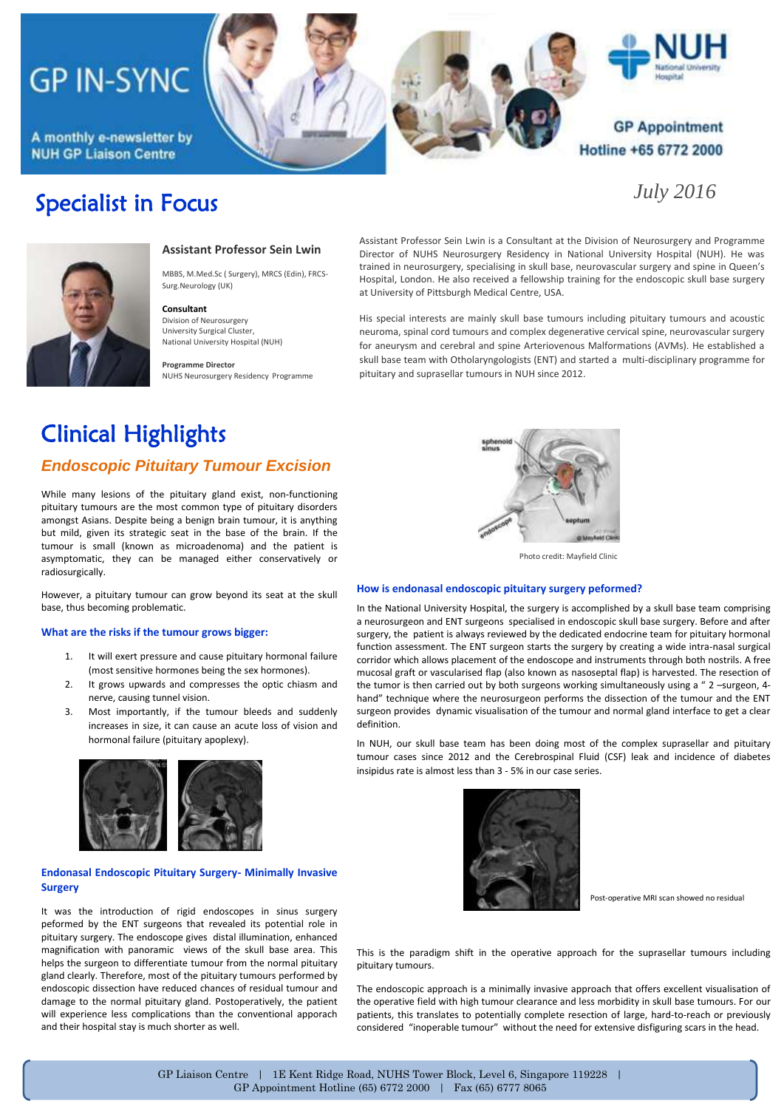# **GP IN-SYNC**

A monthly e-newsletter by **NUH GP Liaison Centre** 

Specialist in Focus





### **GP Appointment** Hotline +65 6772 2000

*July 2016*



**Assistant Professor Sein Lwin**

MBBS, M.Med.Sc ( Surgery), MRCS (Edin), FRCS-Surg.Neurology (UK)

#### **Consultant**

Division of Neurosurgery University Surgical Cluster, National University Hospital (NUH)

**Programme Director** NUHS Neurosurgery Residency Programme Assistant Professor Sein Lwin is a Consultant at the Division of Neurosurgery and Programme Director of NUHS Neurosurgery Residency in National University Hospital (NUH). He was trained in neurosurgery, specialising in skull base, neurovascular surgery and spine in Queen's Hospital, London. He also received a fellowship training for the endoscopic skull base surgery at University of Pittsburgh Medical Centre, USA.

His special interests are mainly skull base tumours including pituitary tumours and acoustic neuroma, spinal cord tumours and complex degenerative cervical spine, neurovascular surgery for aneurysm and cerebral and spine Arteriovenous Malformations (AVMs). He established a skull base team with Otholaryngologists (ENT) and started a multi-disciplinary programme for pituitary and suprasellar tumours in NUH since 2012.

## Clinical Highlights

### *Endoscopic Pituitary Tumour Excision*

While many lesions of the pituitary gland exist, non-functioning pituitary tumours are the most common type of pituitary disorders amongst Asians. Despite being a benign brain tumour, it is anything but mild, given its strategic seat in the base of the brain. If the tumour is small (known as microadenoma) and the patient is asymptomatic, they can be managed either conservatively or radiosurgically.

However, a pituitary tumour can grow beyond its seat at the skull base, thus becoming problematic.

#### **What are the risks if the tumour grows bigger:**

- 1. It will exert pressure and cause pituitary hormonal failure (most sensitive hormones being the sex hormones).
- 2. It grows upwards and compresses the optic chiasm and nerve, causing tunnel vision.
- 3. Most importantly, if the tumour bleeds and suddenly increases in size, it can cause an acute loss of vision and hormonal failure (pituitary apoplexy).



#### **Endonasal Endoscopic Pituitary Surgery- Minimally Invasive Surgery**

It was the introduction of rigid endoscopes in sinus surgery peformed by the ENT surgeons that revealed its potential role in pituitary surgery. The endoscope gives distal illumination, enhanced magnification with panoramic views of the skull base area. This helps the surgeon to differentiate tumour from the normal pituitary gland clearly. Therefore, most of the pituitary tumours performed by endoscopic dissection have reduced chances of residual tumour and damage to the normal pituitary gland. Postoperatively, the patient will experience less complications than the conventional apporach and their hospital stay is much shorter as well.



Photo credit: Mayfield Clinic

#### **How is endonasal endoscopic pituitary surgery peformed?**

In the National University Hospital, the surgery is accomplished by a skull base team comprising a neurosurgeon and ENT surgeons specialised in endoscopic skull base surgery. Before and after surgery, the patient is always reviewed by the dedicated endocrine team for pituitary hormonal function assessment. The ENT surgeon starts the surgery by creating a wide intra-nasal surgical corridor which allows placement of the endoscope and instruments through both nostrils. A free mucosal graft or vascularised flap (also known as nasoseptal flap) is harvested. The resection of the tumor is then carried out by both surgeons working simultaneously using a " 2 –surgeon, 4 hand" technique where the neurosurgeon performs the dissection of the tumour and the ENT surgeon provides dynamic visualisation of the tumour and normal gland interface to get a clear definition.

In NUH, our skull base team has been doing most of the complex suprasellar and pituitary tumour cases since 2012 and the Cerebrospinal Fluid (CSF) leak and incidence of diabetes insipidus rate is almost less than 3 - 5% in our case series.



Post-operative MRI scan showed no residual

This is the paradigm shift in the operative approach for the suprasellar tumours including pituitary tumours.

The endoscopic approach is a minimally invasive approach that offers excellent visualisation of the operative field with high tumour clearance and less morbidity in skull base tumours. For our patients, this translates to potentially complete resection of large, hard-to-reach or previously considered "inoperable tumour" without the need for extensive disfiguring scars in the head.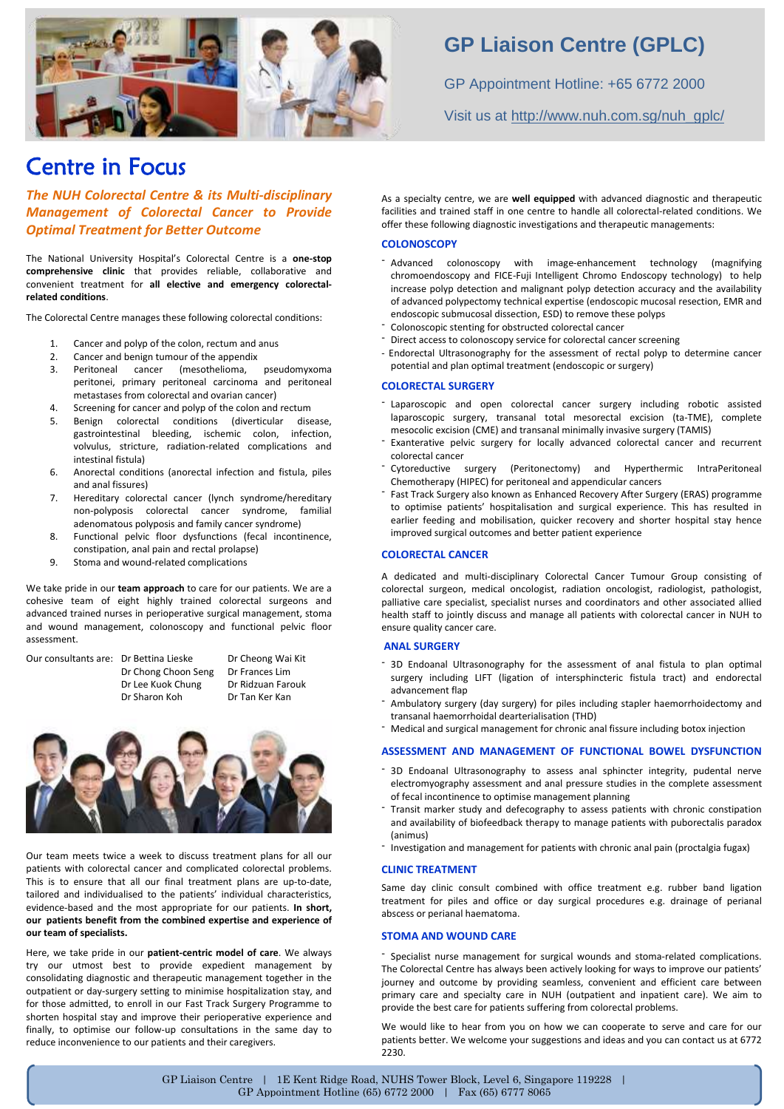

### Centre in Focus

*The NUH Colorectal Centre & its Multi-disciplinary Management of Colorectal Cancer to Provide Optimal Treatment for Better Outcome*

The National University Hospital's Colorectal Centre is a **one-stop comprehensive clinic** that provides reliable, collaborative and convenient treatment for **all elective and emergency colorectalrelated conditions**.

The Colorectal Centre manages these following colorectal conditions:

- 1. Cancer and polyp of the colon, rectum and anus
- 
- 2. Cancer and benign tumour of the appendix<br>2. Peritoneal cancer (mesothelioma, pseudomyxoma Peritoneal cancer (mesothelioma, peritonei, primary peritoneal carcinoma and peritoneal metastases from colorectal and ovarian cancer)
- 4. Screening for cancer and polyp of the colon and rectum
- 5. Benign colorectal conditions (diverticular disease, gastrointestinal bleeding, ischemic colon, infection, volvulus, stricture, radiation-related complications and intestinal fistula)
- 6. Anorectal conditions (anorectal infection and fistula, piles and anal fissures)
- 7. Hereditary colorectal cancer (lynch syndrome/hereditary non-polyposis colorectal cancer syndrome, familial adenomatous polyposis and family cancer syndrome)
- 8. Functional pelvic floor dysfunctions (fecal incontinence, constipation, anal pain and rectal prolapse)
- 9. Stoma and wound-related complications

We take pride in our **team approach** to care for our patients. We are a cohesive team of eight highly trained colorectal surgeons and advanced trained nurses in perioperative surgical management, stoma and wound management, colonoscopy and functional pelvic floor assessment.

Our consultants are: Dr Bettina Lieske Dr Cheong Wai Kit

Dr Chong Choon Seng Dr Frances Lim Dr Sharon Koh Dr Tan Ker Kan





Our team meets twice a week to discuss treatment plans for all our patients with colorectal cancer and complicated colorectal problems. This is to ensure that all our final treatment plans are up-to-date, tailored and individualised to the patients' individual characteristics, evidence-based and the most appropriate for our patients. **In short, our patients benefit from the combined expertise and experience of our team of specialists.**

Here, we take pride in our **patient-centric model of care**. We always try our utmost best to provide expedient management by consolidating diagnostic and therapeutic management together in the outpatient or day-surgery setting to minimise hospitalization stay, and for those admitted, to enroll in our Fast Track Surgery Programme to shorten hospital stay and improve their perioperative experience and finally, to optimise our follow-up consultations in the same day to reduce inconvenience to our patients and their caregivers.

### **GP Liaison Centre (GPLC)**

GP Appointment Hotline: +65 6772 2000 Visit us at [http://www.nuh.com.sg/nuh\\_gplc/](http://www.nuh.com.sg/nuh_gplc/)

As a specialty centre, we are **well equipped** with advanced diagnostic and therapeutic facilities and trained staff in one centre to handle all colorectal-related conditions. We offer these following diagnostic investigations and therapeutic managements:

#### **COLONOSCOPY**

- Advanced colonoscopy with image-enhancement technology (magnifying chromoendoscopy and FICE-Fuji Intelligent Chromo Endoscopy technology) to help increase polyp detection and malignant polyp detection accuracy and the availability of advanced polypectomy technical expertise (endoscopic mucosal resection, EMR and endoscopic submucosal dissection, ESD) to remove these polyps
- Colonoscopic stenting for obstructed colorectal cancer
- Direct access to colonoscopy service for colorectal cancer screening
- Endorectal Ultrasonography for the assessment of rectal polyp to determine cancer potential and plan optimal treatment (endoscopic or surgery)

#### **COLORECTAL SURGERY**

- Laparoscopic and open colorectal cancer surgery including robotic assisted laparoscopic surgery, transanal total mesorectal excision (ta-TME), complete mesocolic excision (CME) and transanal minimally invasive surgery (TAMIS)
- Exanterative pelvic surgery for locally advanced colorectal cancer and recurrent colorectal cancer
- Cytoreductive surgery (Peritonectomy) and Hyperthermic IntraPeritoneal Chemotherapy (HIPEC) for peritoneal and appendicular cancers
- Fast Track Surgery also known as Enhanced Recovery After Surgery (ERAS) programme to optimise patients' hospitalisation and surgical experience. This has resulted in earlier feeding and mobilisation, quicker recovery and shorter hospital stay hence improved surgical outcomes and better patient experience

#### **COLORECTAL CANCER**

A dedicated and multi-disciplinary Colorectal Cancer Tumour Group consisting of colorectal surgeon, medical oncologist, radiation oncologist, radiologist, pathologist, palliative care specialist, specialist nurses and coordinators and other associated allied health staff to jointly discuss and manage all patients with colorectal cancer in NUH to ensure quality cancer care.

#### **ANAL SURGERY**

- 3D Endoanal Ultrasonography for the assessment of anal fistula to plan optimal surgery including LIFT (ligation of intersphincteric fistula tract) and endorectal advancement flap
- Ambulatory surgery (day surgery) for piles including stapler haemorrhoidectomy and transanal haemorrhoidal dearterialisation (THD)
- Medical and surgical management for chronic anal fissure including botox injection

#### **ASSESSMENT AND MANAGEMENT OF FUNCTIONAL BOWEL DYSFUNCTION**

- 3D Endoanal Ultrasonography to assess anal sphincter integrity, pudental nerve electromyography assessment and anal pressure studies in the complete assessment of fecal incontinence to optimise management planning
- Transit marker study and defecography to assess patients with chronic constipation and availability of biofeedback therapy to manage patients with puborectalis paradox (animus)
- Investigation and management for patients with chronic anal pain (proctalgia fugax)

#### **CLINIC TREATMENT**

Same day clinic consult combined with office treatment e.g. rubber band ligation treatment for piles and office or day surgical procedures e.g. drainage of perianal abscess or perianal haematoma.

#### **STOMA AND WOUND CARE**

- Specialist nurse management for surgical wounds and stoma-related complications. The Colorectal Centre has always been actively looking for ways to improve our patients' journey and outcome by providing seamless, convenient and efficient care between primary care and specialty care in NUH (outpatient and inpatient care). We aim to provide the best care for patients suffering from colorectal problems.

We would like to hear from you on how we can cooperate to serve and care for our patients better. We welcome your suggestions and ideas and you can contact us at 6772 2230.